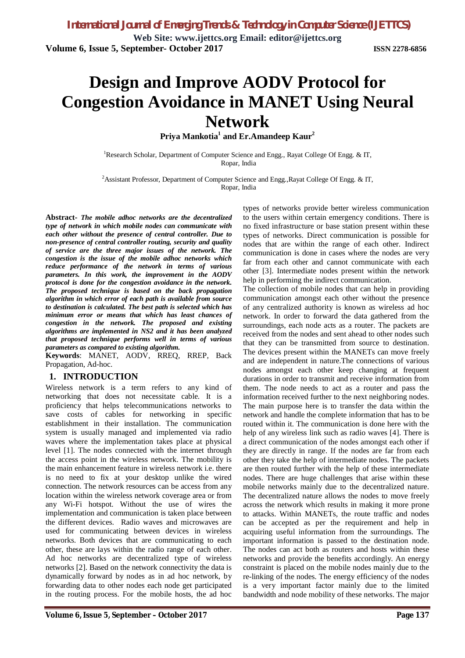**Web Site: www.ijettcs.org Email: editor@ijettcs.org Volume 6, Issue 5, September- October 2017 ISSN 2278-6856**

# **Design and Improve AODV Protocol for Congestion Avoidance in MANET Using Neural Network**

**Priya Mankotia<sup>1</sup> and Er.Amandeep Kaur<sup>2</sup>**

<sup>1</sup>Research Scholar, Department of Computer Science and Engg., Rayat College Of Engg. & IT, Ropar, India

<sup>2</sup> Assistant Professor, Department of Computer Science and Engg., Rayat College Of Engg. & IT, Ropar, India

**Abstract-** *The mobile adhoc networks are the decentralized type of network in which mobile nodes can communicate with each other without the presence of central controller. Due to non-presence of central controller routing, security and quality of service are the three major issues of the network. The congestion is the issue of the mobile adhoc networks which reduce performance of the network in terms of various parameters. In this work, the improvement in the AODV protocol is done for the congestion avoidance in the network. The proposed technique is based on the back propagation algorithm in which error of each path is available from source to destination is calculated. The best path is selected which has minimum error or means that which has least chances of congestion in the network. The proposed and existing algorithms are implemented in NS2 and it has been analyzed that proposed technique performs well in terms of various parameters as compared to existing algorithm.*

**Keywords**: MANET, AODV, RREQ, RREP, Back Propagation, Ad-hoc.

#### **1. INTRODUCTION**

Wireless network is a term refers to any kind of networking that does not necessitate cable. It is a proficiency that helps telecommunications networks to save costs of cables for networking in specific establishment in their installation. The communication system is usually managed and implemented via radio waves where the implementation takes place at physical level [1]. The nodes connected with the internet through the access point in the wireless network. The mobility is the main enhancement feature in wireless network i.e. there is no need to fix at your desktop unlike the wired connection. The network resources can be access from any location within the wireless network coverage area or from any Wi-Fi hotspot. Without the use of wires the implementation and communication is taken place between the different devices. Radio waves and microwaves are used for communicating between devices in wireless networks. Both devices that are communicating to each other, these are lays within the radio range of each other. Ad hoc networks are decentralized type of wireless networks [2]. Based on the network connectivity the data is dynamically forward by nodes as in ad hoc network, by forwarding data to other nodes each node get participated in the routing process. For the mobile hosts, the ad hoc

types of networks provide better wireless communication to the users within certain emergency conditions. There is no fixed infrastructure or base station present within these types of networks. Direct communication is possible for nodes that are within the range of each other. Indirect communication is done in cases where the nodes are very far from each other and cannot communicate with each other [3]. Intermediate nodes present within the network help in performing the indirect communication.

The collection of mobile nodes that can help in providing communication amongst each other without the presence of any centralized authority is known as wireless ad hoc network. In order to forward the data gathered from the surroundings, each node acts as a router. The packets are received from the nodes and sent ahead to other nodes such that they can be transmitted from source to destination. The devices present within the MANETs can move freely and are independent in nature.The connections of various nodes amongst each other keep changing at frequent durations in order to transmit and receive information from them. The node needs to act as a router and pass the information received further to the next neighboring nodes. The main purpose here is to transfer the data within the network and handle the complete information that has to be routed within it. The communication is done here with the help of any wireless link such as radio waves [4]. There is a direct communication of the nodes amongst each other if they are directly in range. If the nodes are far from each other they take the help of intermediate nodes. The packets are then routed further with the help of these intermediate nodes. There are huge challenges that arise within these mobile networks mainly due to the decentralized nature. The decentralized nature allows the nodes to move freely across the network which results in making it more prone to attacks. Within MANETs, the route traffic and nodes can be accepted as per the requirement and help in acquiring useful information from the surroundings. The important information is passed to the destination node. The nodes can act both as routers and hosts within these networks and provide the benefits accordingly. An energy constraint is placed on the mobile nodes mainly due to the re-linking of the nodes. The energy efficiency of the nodes is a very important factor mainly due to the limited bandwidth and node mobility of these networks. The major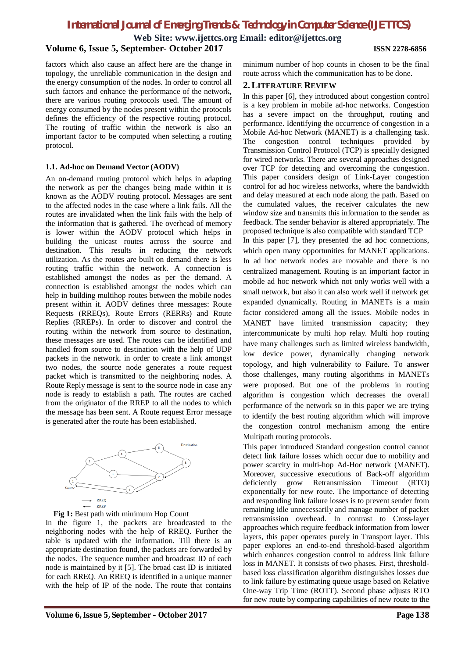**Web Site: www.ijettcs.org Email: editor@ijettcs.org**

#### **Volume 6, Issue 5, September- October 2017 ISSN 2278-6856**

factors which also cause an affect here are the change in topology, the unreliable communication in the design and the energy consumption of the nodes. In order to control all such factors and enhance the performance of the network, there are various routing protocols used. The amount of energy consumed by the nodes present within the protocols defines the efficiency of the respective routing protocol. The routing of traffic within the network is also an important factor to be computed when selecting a routing protocol.

#### **1.1. Ad-hoc on Demand Vector (AODV)**

An on-demand routing protocol which helps in adapting the network as per the changes being made within it is known as the AODV routing protocol. Messages are sent to the affected nodes in the case where a link fails. All the routes are invalidated when the link fails with the help of the information that is gathered. The overhead of memory is lower within the AODV protocol which helps in building the unicast routes across the source and destination. This results in reducing the network utilization. As the routes are built on demand there is less routing traffic within the network. A connection is established amongst the nodes as per the demand. A connection is established amongst the nodes which can help in building multihop routes between the mobile nodes present within it. AODV defines three messages: Route Requests (RREQs), Route Errors (RERRs) and Route Replies (RREPs). In order to discover and control the routing within the network from source to destination, these messages are used. The routes can be identified and handled from source to destination with the help of UDP packets in the network. in order to create a link amongst two nodes, the source node generates a route request packet which is transmitted to the neighboring nodes. A Route Reply message is sent to the source node in case any node is ready to establish a path. The routes are cached from the originator of the RREP to all the nodes to which the message has been sent. A Route request Error message is generated after the route has been established.





In the figure 1, the packets are broadcasted to the neighboring nodes with the help of RREQ. Further the table is updated with the information. Till there is an appropriate destination found, the packets are forwarded by the nodes. The sequence number and broadcast ID of each node is maintained by it [5]. The broad cast ID is initiated for each RREQ. An RREQ is identified in a unique manner with the help of IP of the node. The route that contains

minimum number of hop counts in chosen to be the final route across which the communication has to be done.

#### **2.LITERATURE REVIEW**

In this paper [6], they introduced about congestion control is a key problem in mobile ad-hoc networks. Congestion has a severe impact on the throughput, routing and performance. Identifying the occurrence of congestion in a Mobile Ad-hoc Network (MANET) is a challenging task. The congestion control techniques provided by Transmission Control Protocol (TCP) is specially designed for wired networks. There are several approaches designed over TCP for detecting and overcoming the congestion. This paper considers design of Link-Layer congestion control for ad hoc wireless networks, where the bandwidth and delay measured at each node along the path. Based on the cumulated values, the receiver calculates the new window size and transmits this information to the sender as feedback. The sender behavior is altered appropriately. The proposed technique is also compatible with standard TCP

In this paper [7], they presented the ad hoc connections, which open many opportunities for MANET applications. In ad hoc network nodes are movable and there is no centralized management. Routing is an important factor in mobile ad hoc network which not only works well with a small network, but also it can also work well if network get expanded dynamically. Routing in MANETs is a main factor considered among all the issues. Mobile nodes in MANET have limited transmission capacity; they intercommunicate by multi hop relay. Multi hop routing have many challenges such as limited wireless bandwidth, low device power, dynamically changing network topology, and high vulnerability to Failure. To answer those challenges, many routing algorithms in MANETs were proposed. But one of the problems in routing algorithm is congestion which decreases the overall performance of the network so in this paper we are trying to identify the best routing algorithm which will improve the congestion control mechanism among the entire Multipath routing protocols.

This paper introduced Standard congestion control cannot detect link failure losses which occur due to mobility and power scarcity in multi-hop Ad-Hoc network (MANET). Moreover, successive executions of Back-off algorithm deficiently grow Retransmission Timeout (RTO) exponentially for new route. The importance of detecting and responding link failure losses is to prevent sender from remaining idle unnecessarily and manage number of packet retransmission overhead. In contrast to Cross-layer approaches which require feedback information from lower layers, this paper operates purely in Transport layer. This paper explores an end-to-end threshold-based algorithm which enhances congestion control to address link failure loss in MANET. It consists of two phases. First, thresholdbased loss classification algorithm distinguishes losses due to link failure by estimating queue usage based on Relative One-way Trip Time (ROTT). Second phase adjusts RTO for new route by comparing capabilities of new route to the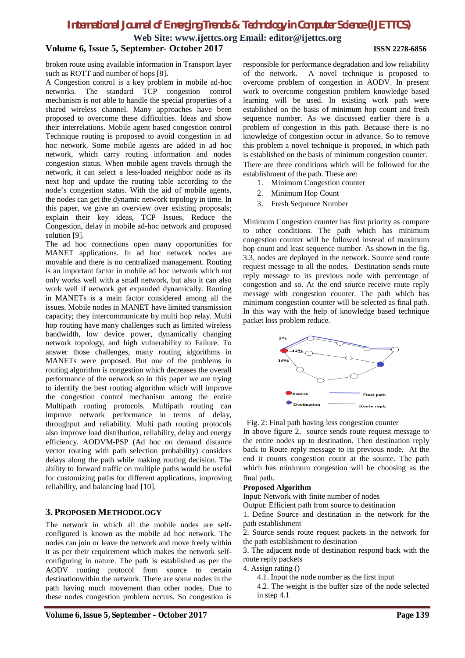**Web Site: www.ijettcs.org Email: editor@ijettcs.org**

#### **Volume 6, Issue 5, September- October 2017 ISSN 2278-6856**

broken route using available information in Transport layer such as ROTT and number of hops [8]**.**

A Congestion control is a key problem in mobile ad-hoc networks. The standard TCP congestion control mechanism is not able to handle the special properties of a shared wireless channel. Many approaches have been proposed to overcome these difficulties. Ideas and show their interrelations. Mobile agent based congestion control Technique routing is proposed to avoid congestion in ad hoc network. Some mobile agents are added in ad hoc network, which carry routing information and nodes congestion status. When mobile agent travels through the network, it can select a less-loaded neighbor node as its next hop and update the routing table according to the node's congestion status. With the aid of mobile agents, the nodes can get the dynamic network topology in time. In this paper, we give an overview over existing proposals; explain their key ideas, TCP Issues, Reduce the Congestion, delay in mobile ad-hoc network and proposed solution [9].

The ad hoc connections open many opportunities for MANET applications. In ad hoc network nodes are movable and there is no centralized management. Routing is an important factor in mobile ad hoc network which not only works well with a small network, but also it can also work well if network get expanded dynamically. Routing in MANETs is a main factor considered among all the issues. Mobile nodes in MANET have limited transmission capacity; they intercommunicate by multi hop relay. Multi hop routing have many challenges such as limited wireless bandwidth, low device power, dynamically changing network topology, and high vulnerability to Failure. To answer those challenges, many routing algorithms in MANETs were proposed. But one of the problems in routing algorithm is congestion which decreases the overall performance of the network so in this paper we are trying to identify the best routing algorithm which will improve the congestion control mechanism among the entire Multipath routing protocols. Multipath routing can improve network performance in terms of delay, throughput and reliability. Multi path routing protocols also improve load distribution, reliability, delay and energy efficiency. AODVM-PSP (Ad hoc on demand distance vector routing with path selection probability) considers delays along the path while making routing decision. The ability to forward traffic on multiple paths would be useful for customizing paths for different applications, improving reliability, and balancing load [10].

#### **3. PROPOSED METHODOLOGY**

The network in which all the mobile nodes are selfconfigured is known as the mobile ad hoc network. The nodes can join or leave the network and move freely within it as per their requirement which makes the network selfconfiguring in nature. The path is established as per the AODV routing protocol from source to certain destinationwithin the network. There are some nodes in the path having much movement than other nodes. Due to these nodes congestion problem occurs. So congestion is

responsible for performance degradation and low reliability of the network. A novel technique is proposed to overcome problem of congestion in AODV. In present work to overcome congestion problem knowledge based learning will be used. In existing work path were established on the basis of minimum hop count and fresh sequence number. As we discussed earlier there is a problem of congestion in this path. Because there is no knowledge of congestion occur in advance. So to remove this problem a novel technique is proposed, in which path is established on the basis of minimum congestion counter. There are three conditions which will be followed for the establishment of the path. These are:

- 1. Minimum Congestion counter
- 2. Minimum Hop Count
- 3. Fresh Sequence Number

Minimum Congestion counter has first priority as compare to other conditions. The path which has minimum congestion counter will be followed instead of maximum hop count and least sequence number. As shown in the fig. 3.3, nodes are deployed in the network. Source send route request message to all the nodes. Destination sends route reply message to its previous node with percentage of congestion and so. At the end source receive route reply message with congestion counter. The path which has minimum congestion counter will be selected as final path. In this way with the help of knowledge based technique packet loss problem reduce.



Fig. 2: Final path having less congestion counter

In above figure 2, source sends route request message to the entire nodes up to destination. Then destination reply back to Route reply message to its previous node. At the end it counts congestion count at the source. The path which has minimum congestion will be choosing as the final path.

#### **Proposed Algorithm**

Input: Network with finite number of nodes

Output: Efficient path from source to destination

1. Define Source and destination in the network for the path establishment

2. Source sends route request packets in the network for the path establishment to destination

3. The adjacent node of destination respond back with the route reply packets

4. Assign rating ()

4.1. Input the node number as the first input

4.2. The weight is the buffer size of the node selected in step 4.1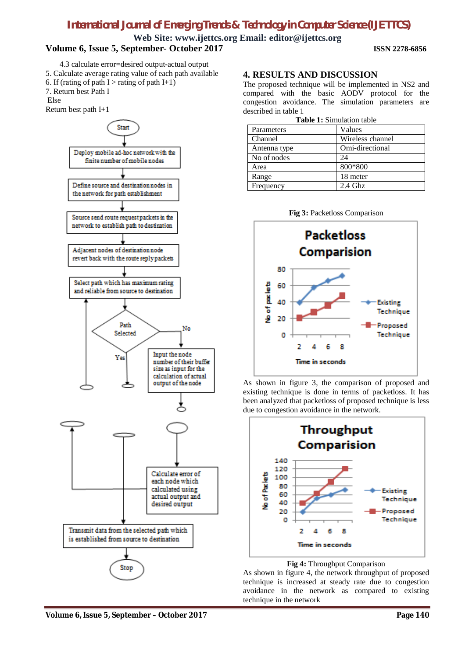# **Web Site: www.ijettcs.org Email: editor@ijettcs.org**

#### **Volume 6, Issue 5, September- October 2017 ISSN 2278-6856**

4.3 calculate error=desired output-actual output

- 5. Calculate average rating value of each path available
- 6. If (rating of path I > rating of path I+1)

7. Return best Path I

Else

Return best path I+1



#### **4. RESULTS AND DISCUSSION**

The proposed technique will be implemented in NS2 and compared with the basic AODV protocol for the congestion avoidance. The simulation parameters are described in table 1

| <b>Table 1:</b> Simulation table |                  |
|----------------------------------|------------------|
| Parameters                       | Values           |
| Channel                          | Wireless channel |
| Antenna type                     | Omi-directional  |
| No of nodes                      | 24               |
| Area                             | 800*800          |
| Range                            | 18 meter         |
| Frequency                        | $2.4$ Ghz        |



As shown in figure 3, the comparison of proposed and existing technique is done in terms of packetloss. It has been analyzed that packetloss of proposed technique is less due to congestion avoidance in the network.



#### **Fig 4:** Throughput Comparison

As shown in figure 4, the network throughput of proposed technique is increased at steady rate due to congestion avoidance in the network as compared to existing technique in the network

#### **Volume 6, Issue 5, September – October 2017 Page 140**